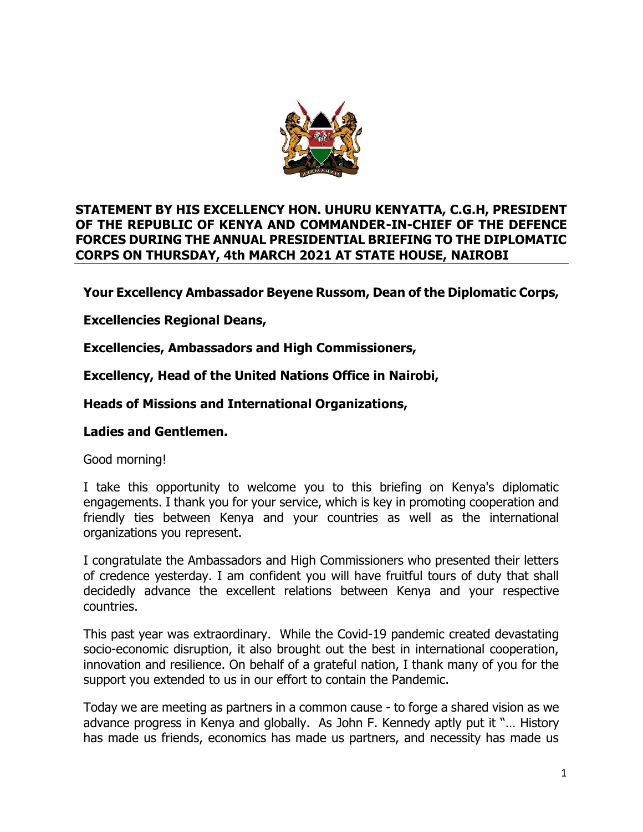

## **STATEMENT BY HIS EXCELLENCY HON. UHURU KENYATTA, C.G.H, PRESIDENT OF THE REPUBLIC OF KENYA AND COMMANDER-IN-CHIEF OF THE DEFENCE FORCES DURING THE ANNUAL PRESIDENTIAL BRIEFING TO THE DIPLOMATIC CORPS ON THURSDAY, 4th MARCH 2021 AT STATE HOUSE, NAIROBI**

**Your Excellency Ambassador Beyene Russom, Dean of the Diplomatic Corps,**

**Excellencies Regional Deans,**

**Excellencies, Ambassadors and High Commissioners,**

**Excellency, Head of the United Nations Office in Nairobi,**

**Heads of Missions and International Organizations,**

## **Ladies and Gentlemen.**

Good morning!

I take this opportunity to welcome you to this briefing on Kenya's diplomatic engagements. I thank you for your service, which is key in promoting cooperation and friendly ties between Kenya and your countries as well as the international organizations you represent.

I congratulate the Ambassadors and High Commissioners who presented their letters of credence yesterday. I am confident you will have fruitful tours of duty that shall decidedly advance the excellent relations between Kenya and your respective countries.

This past year was extraordinary. While the Covid-19 pandemic created devastating socio-economic disruption, it also brought out the best in international cooperation, innovation and resilience. On behalf of a grateful nation, I thank many of you for the support you extended to us in our effort to contain the Pandemic.

Today we are meeting as partners in a common cause - to forge a shared vision as we advance progress in Kenya and globally. As John F. Kennedy aptly put it "… History has made us friends, economics has made us partners, and necessity has made us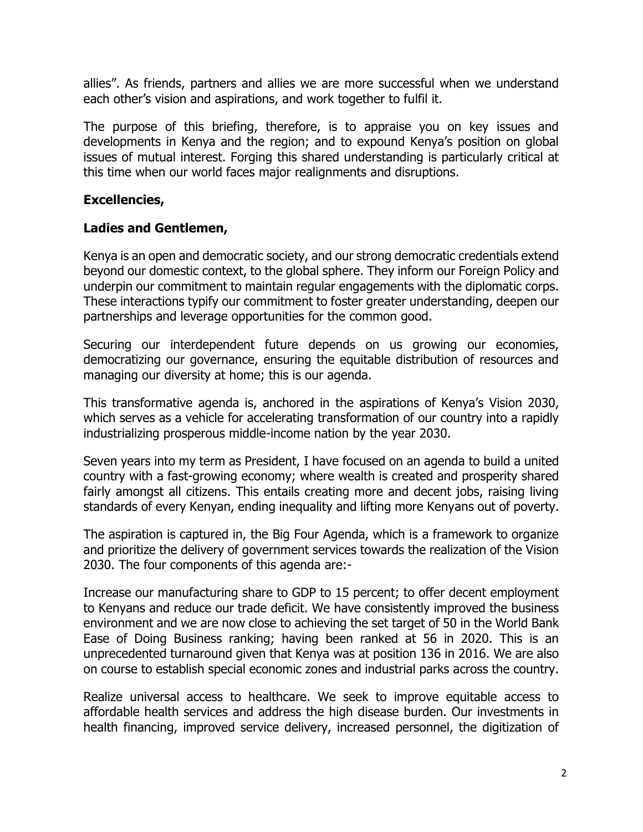allies". As friends, partners and allies we are more successful when we understand each other's vision and aspirations, and work together to fulfil it.

The purpose of this briefing, therefore, is to appraise you on key issues and developments in Kenya and the region; and to expound Kenya's position on global issues of mutual interest. Forging this shared understanding is particularly critical at this time when our world faces major realignments and disruptions.

# **Excellencies,**

## **Ladies and Gentlemen,**

Kenya is an open and democratic society, and our strong democratic credentials extend beyond our domestic context, to the global sphere. They inform our Foreign Policy and underpin our commitment to maintain regular engagements with the diplomatic corps. These interactions typify our commitment to foster greater understanding, deepen our partnerships and leverage opportunities for the common good.

Securing our interdependent future depends on us growing our economies, democratizing our governance, ensuring the equitable distribution of resources and managing our diversity at home; this is our agenda.

This transformative agenda is, anchored in the aspirations of Kenya's Vision 2030, which serves as a vehicle for accelerating transformation of our country into a rapidly industrializing prosperous middle-income nation by the year 2030.

Seven years into my term as President, I have focused on an agenda to build a united country with a fast-growing economy; where wealth is created and prosperity shared fairly amongst all citizens. This entails creating more and decent jobs, raising living standards of every Kenyan, ending inequality and lifting more Kenyans out of poverty.

The aspiration is captured in, the Big Four Agenda, which is a framework to organize and prioritize the delivery of government services towards the realization of the Vision 2030. The four components of this agenda are:-

Increase our manufacturing share to GDP to 15 percent; to offer decent employment to Kenyans and reduce our trade deficit. We have consistently improved the business environment and we are now close to achieving the set target of 50 in the World Bank Ease of Doing Business ranking; having been ranked at 56 in 2020. This is an unprecedented turnaround given that Kenya was at position 136 in 2016. We are also on course to establish special economic zones and industrial parks across the country.

Realize universal access to healthcare. We seek to improve equitable access to affordable health services and address the high disease burden. Our investments in health financing, improved service delivery, increased personnel, the digitization of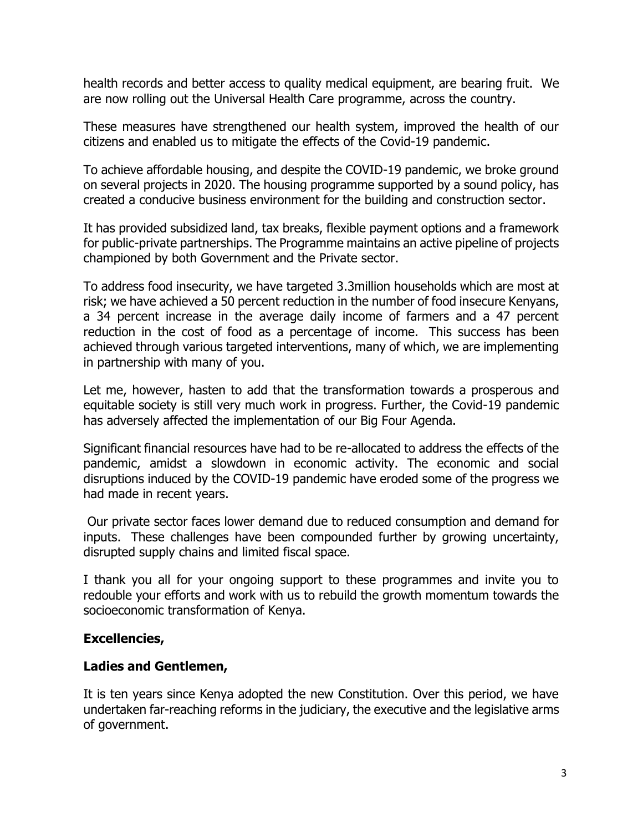health records and better access to quality medical equipment, are bearing fruit. We are now rolling out the Universal Health Care programme, across the country.

These measures have strengthened our health system, improved the health of our citizens and enabled us to mitigate the effects of the Covid-19 pandemic.

To achieve affordable housing, and despite the COVID-19 pandemic, we broke ground on several projects in 2020. The housing programme supported by a sound policy, has created a conducive business environment for the building and construction sector.

It has provided subsidized land, tax breaks, flexible payment options and a framework for public-private partnerships. The Programme maintains an active pipeline of projects championed by both Government and the Private sector.

To address food insecurity, we have targeted 3.3million households which are most at risk; we have achieved a 50 percent reduction in the number of food insecure Kenyans, a 34 percent increase in the average daily income of farmers and a 47 percent reduction in the cost of food as a percentage of income. This success has been achieved through various targeted interventions, many of which, we are implementing in partnership with many of you.

Let me, however, hasten to add that the transformation towards a prosperous and equitable society is still very much work in progress. Further, the Covid-19 pandemic has adversely affected the implementation of our Big Four Agenda.

Significant financial resources have had to be re-allocated to address the effects of the pandemic, amidst a slowdown in economic activity. The economic and social disruptions induced by the COVID-19 pandemic have eroded some of the progress we had made in recent years.

Our private sector faces lower demand due to reduced consumption and demand for inputs. These challenges have been compounded further by growing uncertainty, disrupted supply chains and limited fiscal space.

I thank you all for your ongoing support to these programmes and invite you to redouble your efforts and work with us to rebuild the growth momentum towards the socioeconomic transformation of Kenya.

## **Excellencies,**

## **Ladies and Gentlemen,**

It is ten years since Kenya adopted the new Constitution. Over this period, we have undertaken far-reaching reforms in the judiciary, the executive and the legislative arms of government.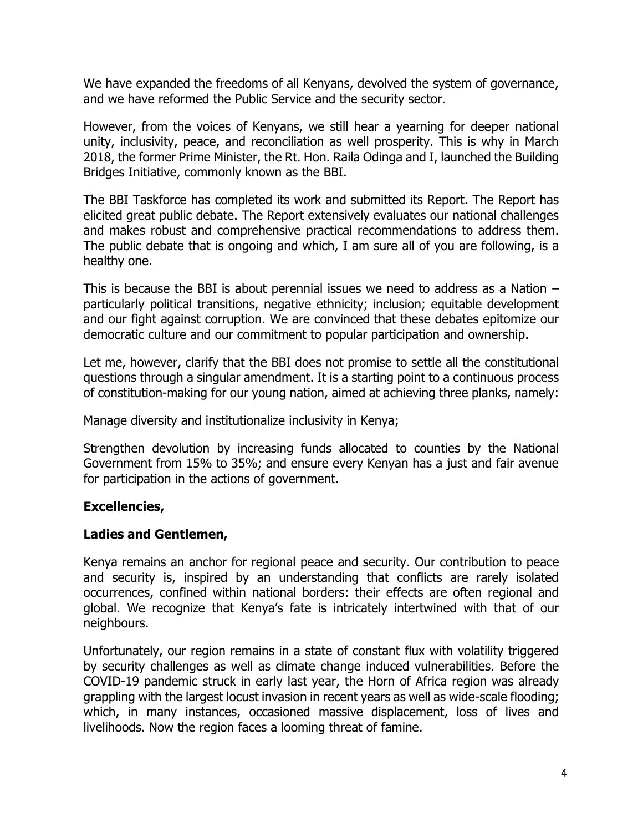We have expanded the freedoms of all Kenyans, devolved the system of governance, and we have reformed the Public Service and the security sector.

However, from the voices of Kenyans, we still hear a yearning for deeper national unity, inclusivity, peace, and reconciliation as well prosperity. This is why in March 2018, the former Prime Minister, the Rt. Hon. Raila Odinga and I, launched the Building Bridges Initiative, commonly known as the BBI.

The BBI Taskforce has completed its work and submitted its Report. The Report has elicited great public debate. The Report extensively evaluates our national challenges and makes robust and comprehensive practical recommendations to address them. The public debate that is ongoing and which, I am sure all of you are following, is a healthy one.

This is because the BBI is about perennial issues we need to address as a Nation  $$ particularly political transitions, negative ethnicity; inclusion; equitable development and our fight against corruption. We are convinced that these debates epitomize our democratic culture and our commitment to popular participation and ownership.

Let me, however, clarify that the BBI does not promise to settle all the constitutional questions through a singular amendment. It is a starting point to a continuous process of constitution-making for our young nation, aimed at achieving three planks, namely:

Manage diversity and institutionalize inclusivity in Kenya;

Strengthen devolution by increasing funds allocated to counties by the National Government from 15% to 35%; and ensure every Kenyan has a just and fair avenue for participation in the actions of government.

## **Excellencies,**

## **Ladies and Gentlemen,**

Kenya remains an anchor for regional peace and security. Our contribution to peace and security is, inspired by an understanding that conflicts are rarely isolated occurrences, confined within national borders: their effects are often regional and global. We recognize that Kenya's fate is intricately intertwined with that of our neighbours.

Unfortunately, our region remains in a state of constant flux with volatility triggered by security challenges as well as climate change induced vulnerabilities. Before the COVID-19 pandemic struck in early last year, the Horn of Africa region was already grappling with the largest locust invasion in recent years as well as wide-scale flooding; which, in many instances, occasioned massive displacement, loss of lives and livelihoods. Now the region faces a looming threat of famine.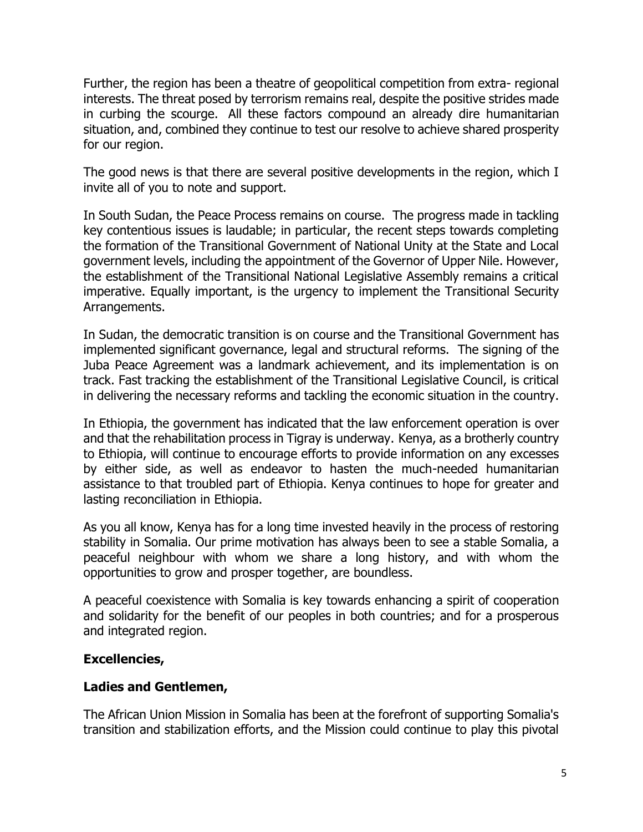Further, the region has been a theatre of geopolitical competition from extra- regional interests. The threat posed by terrorism remains real, despite the positive strides made in curbing the scourge. All these factors compound an already dire humanitarian situation, and, combined they continue to test our resolve to achieve shared prosperity for our region.

The good news is that there are several positive developments in the region, which I invite all of you to note and support.

In South Sudan, the Peace Process remains on course. The progress made in tackling key contentious issues is laudable; in particular, the recent steps towards completing the formation of the Transitional Government of National Unity at the State and Local government levels, including the appointment of the Governor of Upper Nile. However, the establishment of the Transitional National Legislative Assembly remains a critical imperative. Equally important, is the urgency to implement the Transitional Security Arrangements.

In Sudan, the democratic transition is on course and the Transitional Government has implemented significant governance, legal and structural reforms. The signing of the Juba Peace Agreement was a landmark achievement, and its implementation is on track. Fast tracking the establishment of the Transitional Legislative Council, is critical in delivering the necessary reforms and tackling the economic situation in the country.

In Ethiopia, the government has indicated that the law enforcement operation is over and that the rehabilitation process in Tigray is underway. Kenya, as a brotherly country to Ethiopia, will continue to encourage efforts to provide information on any excesses by either side, as well as endeavor to hasten the much-needed humanitarian assistance to that troubled part of Ethiopia. Kenya continues to hope for greater and lasting reconciliation in Ethiopia.

As you all know, Kenya has for a long time invested heavily in the process of restoring stability in Somalia. Our prime motivation has always been to see a stable Somalia, a peaceful neighbour with whom we share a long history, and with whom the opportunities to grow and prosper together, are boundless.

A peaceful coexistence with Somalia is key towards enhancing a spirit of cooperation and solidarity for the benefit of our peoples in both countries; and for a prosperous and integrated region.

## **Excellencies,**

## **Ladies and Gentlemen,**

The African Union Mission in Somalia has been at the forefront of supporting Somalia's transition and stabilization efforts, and the Mission could continue to play this pivotal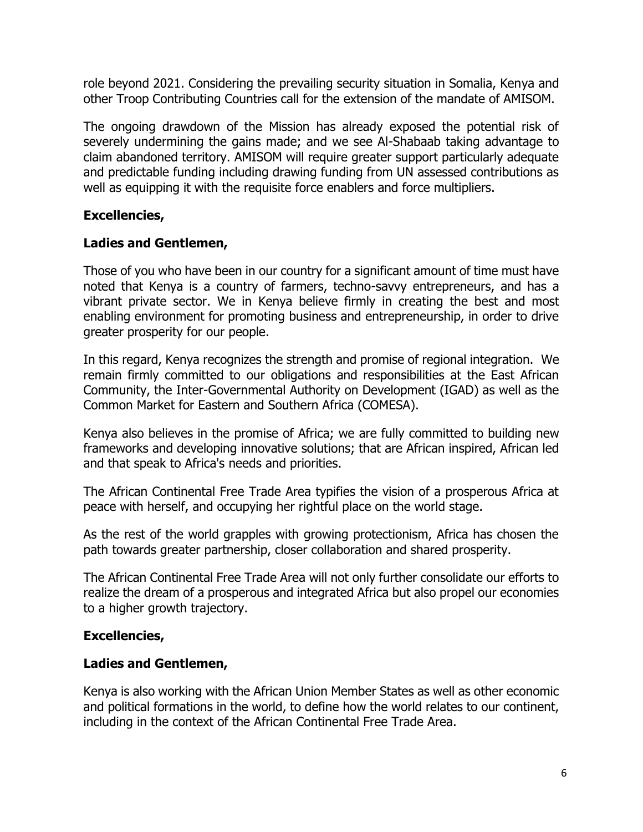role beyond 2021. Considering the prevailing security situation in Somalia, Kenya and other Troop Contributing Countries call for the extension of the mandate of AMISOM.

The ongoing drawdown of the Mission has already exposed the potential risk of severely undermining the gains made; and we see Al-Shabaab taking advantage to claim abandoned territory. AMISOM will require greater support particularly adequate and predictable funding including drawing funding from UN assessed contributions as well as equipping it with the requisite force enablers and force multipliers.

# **Excellencies,**

# **Ladies and Gentlemen,**

Those of you who have been in our country for a significant amount of time must have noted that Kenya is a country of farmers, techno-savvy entrepreneurs, and has a vibrant private sector. We in Kenya believe firmly in creating the best and most enabling environment for promoting business and entrepreneurship, in order to drive greater prosperity for our people.

In this regard, Kenya recognizes the strength and promise of regional integration. We remain firmly committed to our obligations and responsibilities at the East African Community, the Inter-Governmental Authority on Development (IGAD) as well as the Common Market for Eastern and Southern Africa (COMESA).

Kenya also believes in the promise of Africa; we are fully committed to building new frameworks and developing innovative solutions; that are African inspired, African led and that speak to Africa's needs and priorities.

The African Continental Free Trade Area typifies the vision of a prosperous Africa at peace with herself, and occupying her rightful place on the world stage.

As the rest of the world grapples with growing protectionism, Africa has chosen the path towards greater partnership, closer collaboration and shared prosperity.

The African Continental Free Trade Area will not only further consolidate our efforts to realize the dream of a prosperous and integrated Africa but also propel our economies to a higher growth trajectory.

## **Excellencies,**

## **Ladies and Gentlemen,**

Kenya is also working with the African Union Member States as well as other economic and political formations in the world, to define how the world relates to our continent, including in the context of the African Continental Free Trade Area.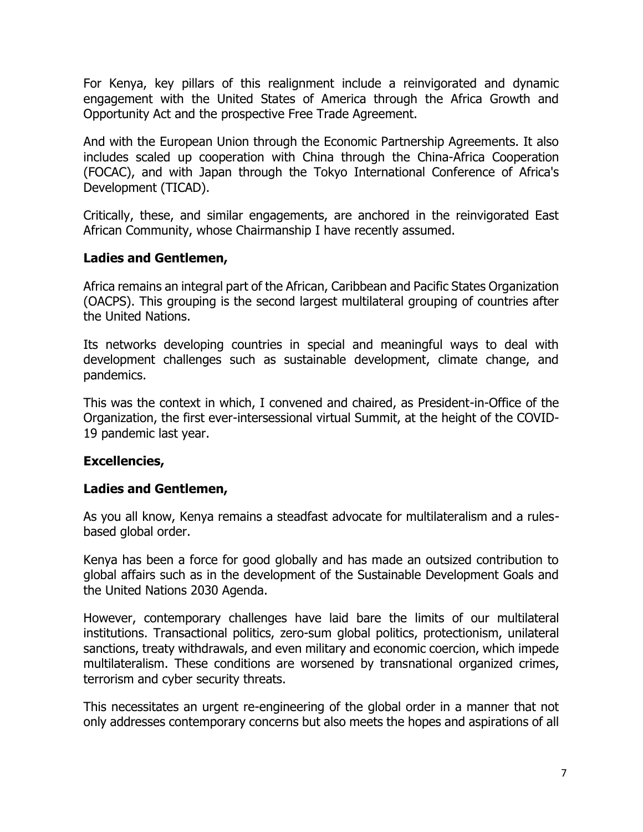For Kenya, key pillars of this realignment include a reinvigorated and dynamic engagement with the United States of America through the Africa Growth and Opportunity Act and the prospective Free Trade Agreement.

And with the European Union through the Economic Partnership Agreements. It also includes scaled up cooperation with China through the China-Africa Cooperation (FOCAC), and with Japan through the Tokyo International Conference of Africa's Development (TICAD).

Critically, these, and similar engagements, are anchored in the reinvigorated East African Community, whose Chairmanship I have recently assumed.

# **Ladies and Gentlemen,**

Africa remains an integral part of the African, Caribbean and Pacific States Organization (OACPS). This grouping is the second largest multilateral grouping of countries after the United Nations.

Its networks developing countries in special and meaningful ways to deal with development challenges such as sustainable development, climate change, and pandemics.

This was the context in which, I convened and chaired, as President-in-Office of the Organization, the first ever-intersessional virtual Summit, at the height of the COVID-19 pandemic last year.

## **Excellencies,**

## **Ladies and Gentlemen,**

As you all know, Kenya remains a steadfast advocate for multilateralism and a rulesbased global order.

Kenya has been a force for good globally and has made an outsized contribution to global affairs such as in the development of the Sustainable Development Goals and the United Nations 2030 Agenda.

However, contemporary challenges have laid bare the limits of our multilateral institutions. Transactional politics, zero-sum global politics, protectionism, unilateral sanctions, treaty withdrawals, and even military and economic coercion, which impede multilateralism. These conditions are worsened by transnational organized crimes, terrorism and cyber security threats.

This necessitates an urgent re-engineering of the global order in a manner that not only addresses contemporary concerns but also meets the hopes and aspirations of all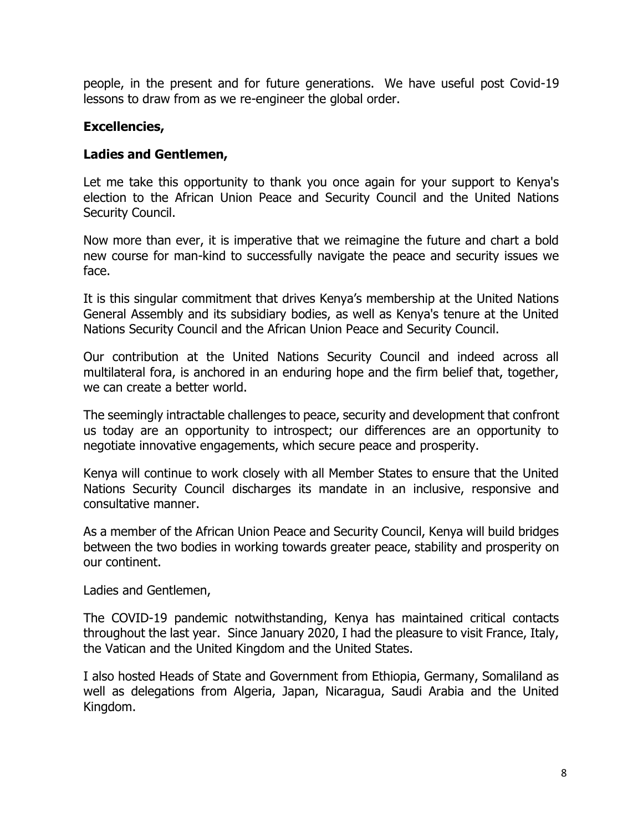people, in the present and for future generations. We have useful post Covid-19 lessons to draw from as we re-engineer the global order.

## **Excellencies,**

# **Ladies and Gentlemen,**

Let me take this opportunity to thank you once again for your support to Kenya's election to the African Union Peace and Security Council and the United Nations Security Council.

Now more than ever, it is imperative that we reimagine the future and chart a bold new course for man-kind to successfully navigate the peace and security issues we face.

It is this singular commitment that drives Kenya's membership at the United Nations General Assembly and its subsidiary bodies, as well as Kenya's tenure at the United Nations Security Council and the African Union Peace and Security Council.

Our contribution at the United Nations Security Council and indeed across all multilateral fora, is anchored in an enduring hope and the firm belief that, together, we can create a better world.

The seemingly intractable challenges to peace, security and development that confront us today are an opportunity to introspect; our differences are an opportunity to negotiate innovative engagements, which secure peace and prosperity.

Kenya will continue to work closely with all Member States to ensure that the United Nations Security Council discharges its mandate in an inclusive, responsive and consultative manner.

As a member of the African Union Peace and Security Council, Kenya will build bridges between the two bodies in working towards greater peace, stability and prosperity on our continent.

Ladies and Gentlemen,

The COVID-19 pandemic notwithstanding, Kenya has maintained critical contacts throughout the last year. Since January 2020, I had the pleasure to visit France, Italy, the Vatican and the United Kingdom and the United States.

I also hosted Heads of State and Government from Ethiopia, Germany, Somaliland as well as delegations from Algeria, Japan, Nicaragua, Saudi Arabia and the United Kingdom.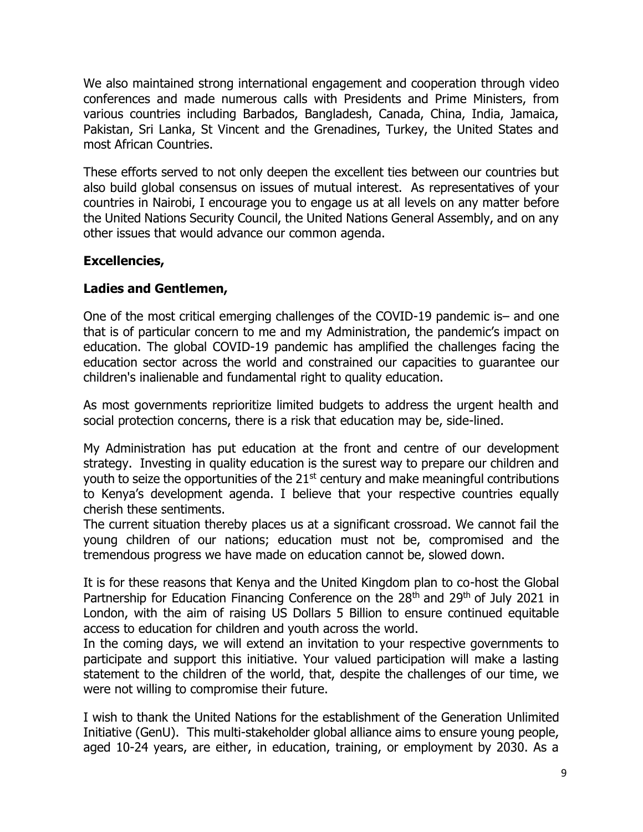We also maintained strong international engagement and cooperation through video conferences and made numerous calls with Presidents and Prime Ministers, from various countries including Barbados, Bangladesh, Canada, China, India, Jamaica, Pakistan, Sri Lanka, St Vincent and the Grenadines, Turkey, the United States and most African Countries.

These efforts served to not only deepen the excellent ties between our countries but also build global consensus on issues of mutual interest. As representatives of your countries in Nairobi, I encourage you to engage us at all levels on any matter before the United Nations Security Council, the United Nations General Assembly, and on any other issues that would advance our common agenda.

# **Excellencies,**

# **Ladies and Gentlemen,**

One of the most critical emerging challenges of the COVID-19 pandemic is– and one that is of particular concern to me and my Administration, the pandemic's impact on education. The global COVID-19 pandemic has amplified the challenges facing the education sector across the world and constrained our capacities to guarantee our children's inalienable and fundamental right to quality education.

As most governments reprioritize limited budgets to address the urgent health and social protection concerns, there is a risk that education may be, side-lined.

My Administration has put education at the front and centre of our development strategy. Investing in quality education is the surest way to prepare our children and youth to seize the opportunities of the  $21<sup>st</sup>$  century and make meaningful contributions to Kenya's development agenda. I believe that your respective countries equally cherish these sentiments.

The current situation thereby places us at a significant crossroad. We cannot fail the young children of our nations; education must not be, compromised and the tremendous progress we have made on education cannot be, slowed down.

It is for these reasons that Kenya and the United Kingdom plan to co-host the Global Partnership for Education Financing Conference on the 28<sup>th</sup> and 29<sup>th</sup> of July 2021 in London, with the aim of raising US Dollars 5 Billion to ensure continued equitable access to education for children and youth across the world.

In the coming days, we will extend an invitation to your respective governments to participate and support this initiative. Your valued participation will make a lasting statement to the children of the world, that, despite the challenges of our time, we were not willing to compromise their future.

I wish to thank the United Nations for the establishment of the Generation Unlimited Initiative (GenU). This multi-stakeholder global alliance aims to ensure young people, aged 10-24 years, are either, in education, training, or employment by 2030. As a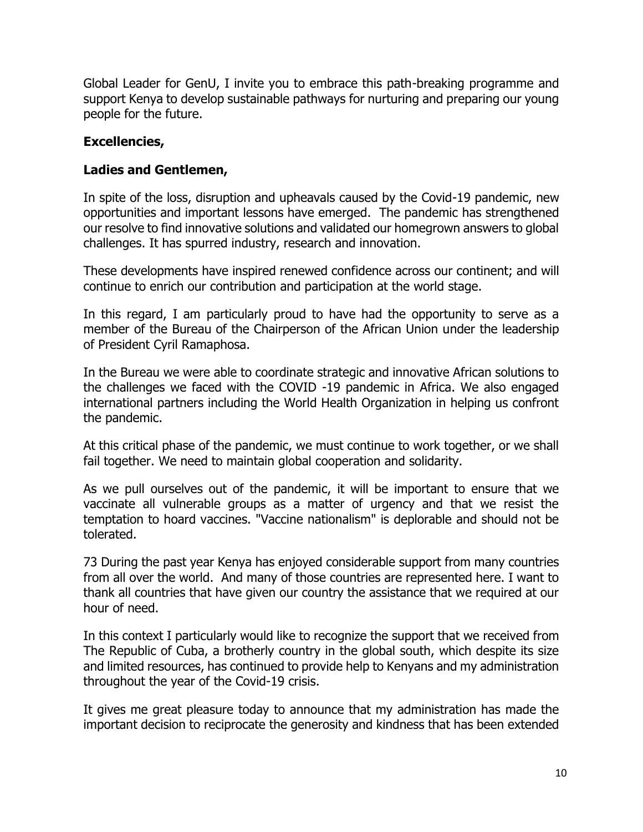Global Leader for GenU, I invite you to embrace this path-breaking programme and support Kenya to develop sustainable pathways for nurturing and preparing our young people for the future.

## **Excellencies,**

## **Ladies and Gentlemen,**

In spite of the loss, disruption and upheavals caused by the Covid-19 pandemic, new opportunities and important lessons have emerged. The pandemic has strengthened our resolve to find innovative solutions and validated our homegrown answers to global challenges. It has spurred industry, research and innovation.

These developments have inspired renewed confidence across our continent; and will continue to enrich our contribution and participation at the world stage.

In this regard, I am particularly proud to have had the opportunity to serve as a member of the Bureau of the Chairperson of the African Union under the leadership of President Cyril Ramaphosa.

In the Bureau we were able to coordinate strategic and innovative African solutions to the challenges we faced with the COVID -19 pandemic in Africa. We also engaged international partners including the World Health Organization in helping us confront the pandemic.

At this critical phase of the pandemic, we must continue to work together, or we shall fail together. We need to maintain global cooperation and solidarity.

As we pull ourselves out of the pandemic, it will be important to ensure that we vaccinate all vulnerable groups as a matter of urgency and that we resist the temptation to hoard vaccines. "Vaccine nationalism" is deplorable and should not be tolerated.

73 During the past year Kenya has enjoyed considerable support from many countries from all over the world. And many of those countries are represented here. I want to thank all countries that have given our country the assistance that we required at our hour of need.

In this context I particularly would like to recognize the support that we received from The Republic of Cuba, a brotherly country in the global south, which despite its size and limited resources, has continued to provide help to Kenyans and my administration throughout the year of the Covid-19 crisis.

It gives me great pleasure today to announce that my administration has made the important decision to reciprocate the generosity and kindness that has been extended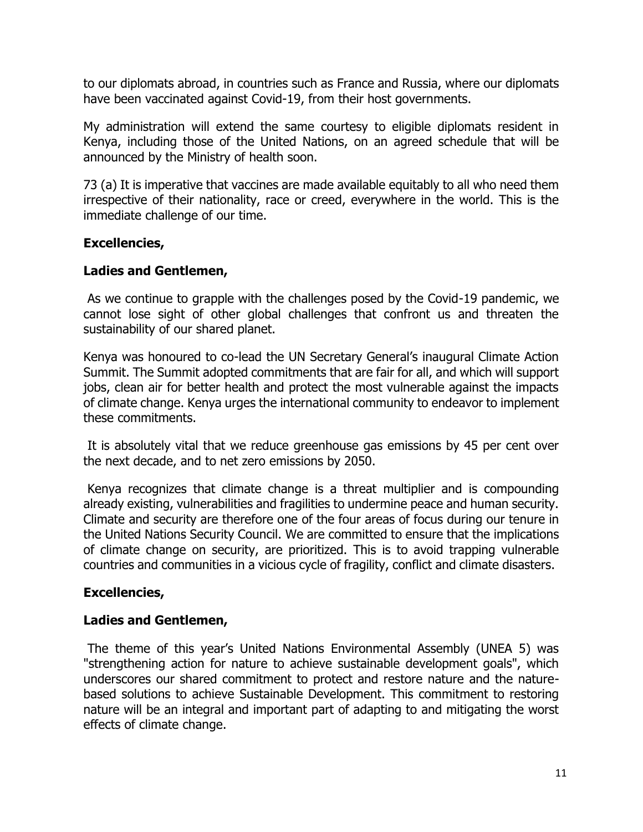to our diplomats abroad, in countries such as France and Russia, where our diplomats have been vaccinated against Covid-19, from their host governments.

My administration will extend the same courtesy to eligible diplomats resident in Kenya, including those of the United Nations, on an agreed schedule that will be announced by the Ministry of health soon.

73 (a) It is imperative that vaccines are made available equitably to all who need them irrespective of their nationality, race or creed, everywhere in the world. This is the immediate challenge of our time.

# **Excellencies,**

# **Ladies and Gentlemen,**

As we continue to grapple with the challenges posed by the Covid-19 pandemic, we cannot lose sight of other global challenges that confront us and threaten the sustainability of our shared planet.

Kenya was honoured to co-lead the UN Secretary General's inaugural Climate Action Summit. The Summit adopted commitments that are fair for all, and which will support jobs, clean air for better health and protect the most vulnerable against the impacts of climate change. Kenya urges the international community to endeavor to implement these commitments.

It is absolutely vital that we reduce greenhouse gas emissions by 45 per cent over the next decade, and to net zero emissions by 2050.

Kenya recognizes that climate change is a threat multiplier and is compounding already existing, vulnerabilities and fragilities to undermine peace and human security. Climate and security are therefore one of the four areas of focus during our tenure in the United Nations Security Council. We are committed to ensure that the implications of climate change on security, are prioritized. This is to avoid trapping vulnerable countries and communities in a vicious cycle of fragility, conflict and climate disasters.

## **Excellencies,**

# **Ladies and Gentlemen,**

The theme of this year's United Nations Environmental Assembly (UNEA 5) was "strengthening action for nature to achieve sustainable development goals", which underscores our shared commitment to protect and restore nature and the naturebased solutions to achieve Sustainable Development. This commitment to restoring nature will be an integral and important part of adapting to and mitigating the worst effects of climate change.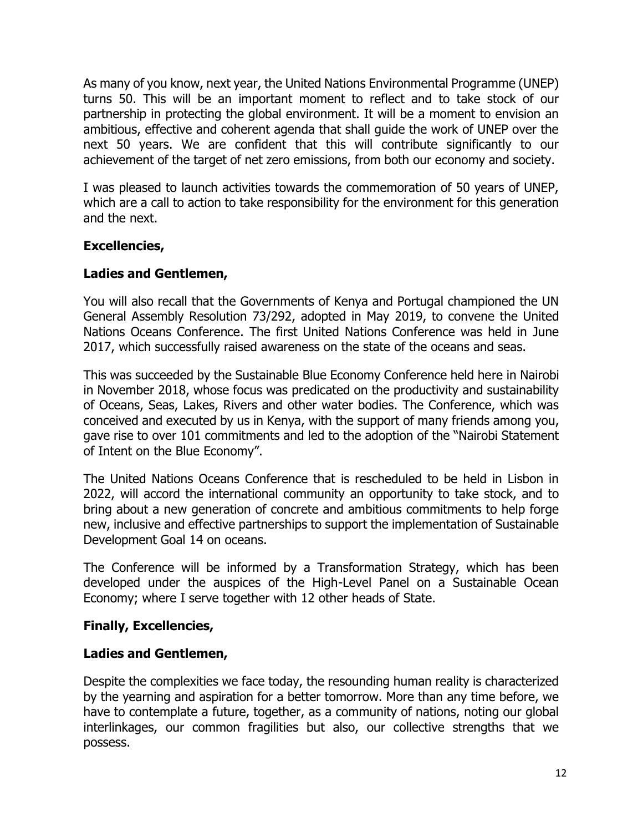As many of you know, next year, the United Nations Environmental Programme (UNEP) turns 50. This will be an important moment to reflect and to take stock of our partnership in protecting the global environment. It will be a moment to envision an ambitious, effective and coherent agenda that shall guide the work of UNEP over the next 50 years. We are confident that this will contribute significantly to our achievement of the target of net zero emissions, from both our economy and society.

I was pleased to launch activities towards the commemoration of 50 years of UNEP, which are a call to action to take responsibility for the environment for this generation and the next.

## **Excellencies,**

## **Ladies and Gentlemen,**

You will also recall that the Governments of Kenya and Portugal championed the UN General Assembly Resolution 73/292, adopted in May 2019, to convene the United Nations Oceans Conference. The first United Nations Conference was held in June 2017, which successfully raised awareness on the state of the oceans and seas.

This was succeeded by the Sustainable Blue Economy Conference held here in Nairobi in November 2018, whose focus was predicated on the productivity and sustainability of Oceans, Seas, Lakes, Rivers and other water bodies. The Conference, which was conceived and executed by us in Kenya, with the support of many friends among you, gave rise to over 101 commitments and led to the adoption of the "Nairobi Statement of Intent on the Blue Economy".

The United Nations Oceans Conference that is rescheduled to be held in Lisbon in 2022, will accord the international community an opportunity to take stock, and to bring about a new generation of concrete and ambitious commitments to help forge new, inclusive and effective partnerships to support the implementation of Sustainable Development Goal 14 on oceans.

The Conference will be informed by a Transformation Strategy, which has been developed under the auspices of the High-Level Panel on a Sustainable Ocean Economy; where I serve together with 12 other heads of State.

### **Finally, Excellencies,**

### **Ladies and Gentlemen,**

Despite the complexities we face today, the resounding human reality is characterized by the yearning and aspiration for a better tomorrow. More than any time before, we have to contemplate a future, together, as a community of nations, noting our global interlinkages, our common fragilities but also, our collective strengths that we possess.